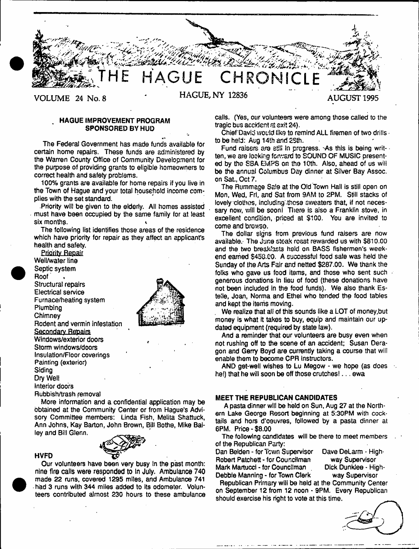

# HAGUE IMPROVEMENT PROGRAM SPONSORED BY HUD

The Federal Government has made funds available for certain home repairs. These funds are administered by the Warren County Office of Community Development for the purpose of providing grants to eligible homeowners to correct health and safety problems.

100% grants are available for home repairs if you live in the Town of Hague and your total household income complies with the set standard.

.Priority will be given to the elderly. All homes assisted must have been occupied by the same family for at least six months. 4

The following list identifies those areas of the residence which have priority for repair as they affect an applicant's health and safety.





Rubbish/trash removal More information and a confidential application may be

HVFD

obtained at the Community Center or from Hague's Advisory Committee members: Linda Fish, Melita Shattuck, Ann Johns, Kay Barton, John Brown, Bill Bothe, Mike Bailey and Bill Glenn.



Our volunteers have been very busy In the past month: nine fire calls were responded to In July. Ambulance 740 made 22 runs, covered 1295 miles, and Ambulance 741 had 3 runs with 344 miles added to its odometer. Volunteers contributed almost 230 hours to these ambulance calls. (Yes, our volunteers were among those called to the tragic bus accident at exit 24).

Chief David would like to remind ALL firemen of two drills • to be held: Aug 14th and 2Sth.

Fund raisers are still in progress. As this is being writ-  $\cdot$ ten, we are looking forward to SOUND OF MUSIC presented by the SBA EMPS on the 10th. Also, ahead of us will be the annual Columbus Day dinner at Silver Bay Assoc. on Sat, Oct 7.

The Rummage Sale at the Old Town Hall is still open on Mon, Wed, Frl, and Sat from 9AM to 2PM. Still stacks of lovely clothes, including-thcsa sweaters that, if not necessary now, will be soon! There is also a Franklin stove, in excellent condition, priced at \$100. You are invited to come and browse.

The dollar signs from previous fund raisers are now available.- The June steak roast rewarded us with \$810.00 and the two breakfasts held on BASS fishermen's weekend earned \$453.00. A successful food sale was held the Sunday of the Arts Fair and netted \$287.00. We thank the folks who gave us food items, and those who sent such generous donations in lieu of food (these donations have not been included in the food funds). We also thank Estelle, Joan, Norma and Ethel who tended the food tables and kept the items moving.

We realize that all of this sounds like a LOT of money, but money is what it takes to buy, equip and maintain our updated equipment (required by state law).

And a reminder that our volunteers are busy even when not rushing off to the scene of an accident; Susan Deragon and Gerry Boyd are currently taking a course that will enable them to become CPR instructors.

AND get-well wishes to Lu Megow - we hope (as does he!) that he will soon be off those crutches!... ewa

# MEET THE REPUBLICAN CANDIDATES

A pasta dinner will be held on Sun, Aug 27 at the Northern Lake George Resort beginning at 5:30PM with cocktails and hors d'oeuvres, followed by a pasta dinner at 6PM. Price - \$8.00

The following candidates will be there to meet members of the Republican Party:

Dan Belden - for Town Supervisor Dave DeLarm - High-Robert Patchett - for Councilman way Supervisor Mark Martucci - for Councilman . Dick Dunklee - High-Debbie Manning - for Town Clerk way Supervisor

Republican Primary will be held at the Community Center on September 12 from 12 noon - 9PM. Every Republican should exercise his right to vote at this time.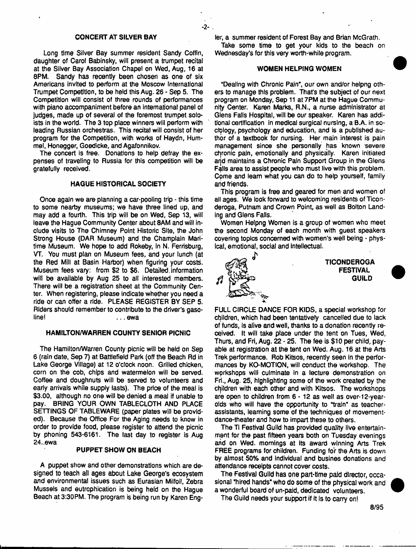## CONCERT AT SILVER BAY

- 2-

Long time Silver Bay summer resident Sandy Coffin, daughter of Carol Babinsky, will present a trumpet recital at the Silver Bay Association Chape) on Wed, Aug, 16 at 8PM. Sandy has recently been chosen as one of six Americans invited to perform at the Moscow International Trumpet Competition, to be held this Aug. 26 - Sep 5. The Competition will consist of three rounds of performances with piano accompaniment before an international panel of judges, made up of several of the foremost trumpet soloists in the world. The 3 top place winners wlii perform with leading Russian orchestras. This recital will consist of her program for the Competition, with works of Haydn, Hummel, Honegger, Goedicke, and Agafonnikov.

The concert is free. Donations to help defray the expenses of traveling to Russia for this competition will be gratefully received.

### HAGUE HISTORICAL SOCIETY

Once again we are planning a car-pooling trip - this time to some nearby museums; we have three lined up, and may add a fourth. This trip will be on Wed, Sep 13, will leave the Hague Community Center about 8AM and will include visits to The Chimney Point Historic Site, the John Strong House (DAR Museum) and the Champlain Maritime Museum. We hope to add Rokeby, in N. Ferrisburg, VT. You must plan on Museum fees, and your lunch {at the Red Mill at Basin Harbor) when figuring your costs. Museum fees vary; from \$2 to \$6. Detailed, information will be available by Aug 25 to all interested members. There will be a registration sheet at the Community Center. When registering, please indicate whether you need a ride or can offer a ride. PLEASE REGISTER BY SEP 5. Riders should remember to contribute to the driver's gaso-<br>line! line! ... ewa

## HAMILTON/WARREN COUNTY SENIOR PICNIC

The Hamilton/Warren County picnic will be held on Sep 6 (rain date, Sep 7) at Battlefield Park (off the Beach Rd in Lake George Village) at 12 o'clock noon. Grilled chicken, corn on the cob, chips and watermelon will be served. Coffee and doughnuts will be served to volunteers and early arrivals while supply lasts). The price of the meal is \$3.00, although no one will be denied a meal if unable to pay. BRING YOUR OWN TABLECLOTH AND PLACE SETTINGS OF TABLEWARE (paper plates will be provided). Because the Office For the Aging needs to know in order to provide food, please register to attend the picnic by phoning 543-6161. The last day to register is Aug 24..ewa

## PUPPET SHOW ON BEACH

A puppet show and other demonstrations which are designed to teach all ages about Lake George's ecosystem and environmental issues such as Eurasian Milfoil, Zebra Mussels and eutrophication is being held on the Hague Beach at 3:30PM. The program is being run by Karen Engter, a summer resident of Forest Bay and Brian McGrath.

Take some time to get your kids to the beach on Wednesday's for this very worth-while program.

# WOMEN HELPING WOMEN

"Dealing with Chronic Pain", our own and/or helpng others to manage this problem. That's the subject of our next program on Monday, Sep 11 at 7PM at the Hague Community Center. Karen Marks, R.N., a nurse administrator at Glens Falls Hospital, will be our speaker. Karen has additional certification in medical surgical nursing, a B.A. in sociology, psychology and education, and is a published author of a textbook for nursing. Her main interest is pain management since she personally has known severe chronic pain, emotionally and physically. Karen initiated and maintains a Chronic Pain Support Group in the Glens Fails area to assist people who must live with this problem. Cpme and leam what you can do to help yourself, family and friends.

This program is free and geared for men and women of all ages. We look forward to welcoming residents of Ticonderoga, Putnam and Crown Point, as well as Bolton Landing and Glens Falls.

Women Helpng Women is a group of women who meet the second Monday of each month with guest speakers covering topics concerned with women's well being - physical, emotional, social and intellectual.



FULL CIRCLE DANCE FOR KIDS, a special workshop for children, which had been tentatively cancelled due to lack of funds, is alive and well, thanks to a donation recently received. It will take place under the tent on Tues, Wed, Thurs, and Fri, Aug. 22 - 25. The fee is \$10 per child, payable at registration at the tent on Wed. Aug. 16 at the Arts Trek performance. Rob Kitsos, recently seen in the performances by KO-MOTION, will conduct the workshop. The workshops will culminate In a lecture demonstration on Fri., Aug. 25, highlighting some of the work created by the children with each other and with Kitsos. The workshops are open to children from 6 - 12 as well as over-12-yearolds who will have the opportunity to "train" as teacherassistants, learning some of the techniques of movementdance-theaterand how to impart these to others.

The Ti Festival Guild has provided quality live entertainment for the past fifteen years both on Tuesday evenings and on Wed. mornings at Its award winning Arts Trek FREE programs for children. Funding for the Arts is down by almost 50% and individual and busines donations and attendance receipts cannot cover costs.

The Festival Guild has one part-time paid director, occasional "hired hands" who do some of the physical work and a wonderful board of un-paid, dedicated volunteers.

The Guild needs your support if it is to carry on!

**GUILD**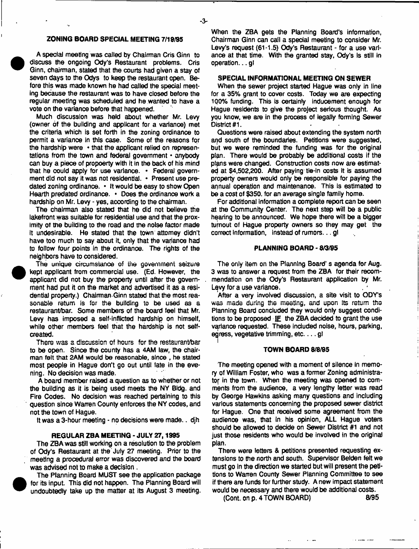# **ZONING BOARD SPECIAL MEETING 7/19/95**

A special meeting was called by Chairman Cris Ginn to discuss the ongoing Ody's Restaurant problems. Cris Ginn, chairman, stated that the courts had given a stay of seven days to the Odys to keep the restaurant open. Before this was made known he had called the special meeting because the restaurant was to have closed before the regular meeting was scheduled and he wanted to have a vote on the variance before that happened.

Much discussion was held about whether Mr. Levy (owner of the building and applicant for a variance) met the criteria which is set forth in the zoning ordinance to permit a variance in this case. Some of the reasons for the hardship were • that the applicant relied on representations from the town and federal government \* anybody can buy a piece of propoerty with it in the back of his mind that he could apply for use variance. • Federal government did not say it was not residential. \* Present use predated zoning ordinance. • It would be easy to show Open Hearth predated ordinance. • Does the ordinance work a hardship on Mr. Levy - yes, according to the chairman.

The chairman also stated that he did not believe the lakefront was suitable for residential use and that the proximity of the building to the road and the noise factor made It undesirable. He stated that the town attorney didn't have too much to say about it, onty that the variance had to follow four points in the ordinance. The rights of the neighbors have to considered.

The unique circumstance of the government seizure kept applicant from commercial use. (Ed. However, the applicant did not buy the property until after the government had put it on the market and advertised it as a residential property.) Chairman Ginn stated that the most reasonable return is for the building to be used as a restaurant/bar. Some members of the board feel that Mr. Levy has imposed a self-inflicted hardship on himself, white other members feel that the hardship is not selfcreated.

There was a discussion of hours for the restaurant/bar to be open. Since the county has a 4AM law, the chairman felt that 2AM would be reasonable, since , he stated most people in Hague don't go out until tate in the evening. No decision was made.

A board member raised a question as to whether or not the building as it is being used meets the NY Bldg. and Fire Codes. No decision was reached pertaining to this question since Warren County enforces the NY codes, and not the town of Hague.

It was a 3-hour meeting - no decisions were made.. djh

#### **REGULAR ZBA MEETING - JULY 27,1995**

The ZBA was still working on a resolution to the problem of Ody's Restaurant at the July 27 meeting. Prior to the meeting a procedural error was discovered and the board was advised not to make a decision .

The Planning Board MUST see the application package for its input. This did not happen. The Planning Board will undoubtedly take up the matter at its August 3 meeting.

When the ZBA gets the Planning Board's information, Chairman Ginn can call a special meeting to consider Mr. Levy's request (61-1.5) Ody's Restaurant - for a use variance at that time. With the granted stay, Ody's is still in operation... g!

### **SPECIAL INFORMATIONAL MEETING ON SEWER**

When the sewer project started Hague was only in line for a 35% grant to cover costs. Today we are expecting 1Q0% funding. This is certainly inducement enough for Hague residents to give the project serious thought. As you know, we are in the process of legally forming Sewer District #1.

Questions were raised about extending the system north and south of the boundaries. Petitions were suggested, but we were reminded the funding was for the original plan. There would be probably be additional costs if the plans were changed. Construction costs now are estimated at \$4,502,200. After paying tie-in costs it is assumed property owners would only be responsible for paying the annual operation and maintenance. This is estimated to be a cost of \$350, for an average single family home.

For additional information a complete report can be seen at the Community Center. The next step will be a public hearing to be announced. We hope there wilt be a bigger turnout of Hague property owners so they may get the correct information, instead of rumors... gl

#### **PLANNING BOARD -** 9/3/95

The only item on the Planning Board' s agenda for Aug. 3 was to answer a request from the ZBA for their recommendation on the Ody's Restaurant application by Mr. Lqvy for a use varianoe.

After a very involved discussion, a site visit to ODY'S was made during the meeting, and upon its return the Planning Board concluded they would only suggest conditions to be proposed  $E$  the ZBA decided to grant the use variance requested. These included noise, hours, parking, egress, vegetative trimming, etc. . . . gl i

#### **TOWN BOARD** 8/8/95

The meeting opened with a moment of silence in memory of William Foster, who was a former Zoning administrator in the town. When the meeting was opened to comments from the audience, a very lengthy letter was read by George Hawkins asking many questions and including various statements concerning the proposed sewer district for Hague. One that received some agreement from the audience was, that in his opinion, ALL Hague voters should be allowed to decide on Sewer District #1 and not just those residents who would be involved in the original plan.

There were tetters & petitions presented requesting extensions to the north and south. Supervisor Beiden felt we must go In the direction we started but will present the petitions to Wanen County Sewer Planning Committee to see if there are funds for further study. A new impact statement would be necessary and there would be additional costs.

 $(Cont. on p. 4 TOWN BOARD)$  8/95

-3-

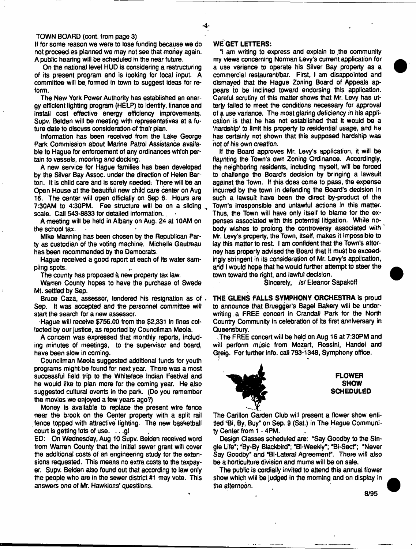#### TOWN BOARD (cont. from page 3)

If for some reason we were to lose funding because we do not proceed as planned we may not see that money again. A public hearing will be scheduled in the near future.

On the national level HUD is considering a restructuring of its present program and is looking for local input A committee will be formed in town to suggest ideas for reform.

The New York Power Authority has established an energy efficient lighting program (HELP) to identify, finance and install cost effective energy efficiency improvements. Supv. Belden will be meeting with representatives at a future date to discuss consideration of their plan.

Information has been received from the Lake George Park Commission about Marine Patrol Assistance available to Hague for enforcement of any ordinances which pertain to vessels, mooring and docking.

A new service for Hague families has been developed by the Silver Bay Assoc, under the direction of Helen Barton. It is child care and is sorely needed; There will be an Open House at the beautiful new child care center on Aug 16. The center will open officially on Sep 6. Hours are 7:30AM to 4:30PM. Fee structure will be on a sliding scale. Call 543-8833 for detailed information.

A meeting will be held in Albany on Aug. 24 at 10AM on the school tax.

Mike Manning has been chosen by the Republican Party as custodian of the voting machine. Michelle Gautreau has been recommended by the Democrats.

Hague received a good report at each of its water sampling spots.

The county has proposed a new property tax law.

Warren County hopes to have the purchase of Swede Mt. settled by Sep.

Bruoe Caza, assessor, tendered his resignation as of . Sep. It was accepted and the personnel committee will start the search for a new assessor.

Hague will receive \$756.00 from the \$2,331 in fines collected by our justice, as reported by Councilman Meola.

A concern was expressed that monthly reports, including minutes of meetings, to the supervisor and board, have been slow in coming.

Councilman Meola suggested additional funds for youth programs might be found for next year. There was a most successful field trip to the Whiteface Indian Festival and he would tike to plan more for the coming year. He also suggested cultural events in the park. (Do you remember the movies we enjoyed a few years ago?)

Money is available to replace the present wire fence near the brook on the Center property with a split rail fence topped with attractive lighting. The new basketball court is getting lots of use. .. .gl

ED: On Wednesday, Aug 10 Supv. Belden received word from Warren County that the initial sewer grant wilt cover the additional costs of an engineering study for the extensions requested. This means no extra costs to the taxpayer. Supv. Belden also found out that according to law only the people who are in the sewer district #1 may vote. This answers one *of* Mr. Hawkions' questions.

#### WE GET LETTERS:

"I am writing to express and explain to the community my views concerning Norman Levy's current application for a use variance to operate his Silver Bay property as a commercial restaurant/bar. First, I am disappointed and dismayed that the Hague Zoning Board of Appeals appears to be inclined toward endorsing this application. Careful scrutiny of this matter shows that Mr. Levy has utterly failed to meet the conditions necessary for approval of a use variance. The most glaring deficiency in his application is that he has not established that it would be a 'hardship\* to limit his property to residential usage, and he has certainly not shown that this supposed hardship was hof of his own creation.

If the Board approves Mr. Levy's application, it will be flaunting the Town's own Zoning Ordinance. Accordingly, the neighboring residents, including myself, will be forced to challenge the Board's decision by bringing a lawsuit against the Town. If this does come to pass, the expense incurred by the town in defending the Board's decision in such a lawsuit have been the direct by-product of the Toym's irresponsible and unlawful actions in this matter. Thus, the Town will have only itself to blame for the expenses associated with this potential litigation. While nobody wishes to prolong the controversy associated with Mr, Levy's property, the Town, itself, makes it impossible to fay this matter to rest. I am confident that the Town's attorney has property advised the Board that it must be exceedingly stringent in its consideration of Mr. Levy's application, and i would hope that he would further attempt to steer the town toward the right, and lawful decision.

Sincerely, *Isf* Eleanor Sapakoff

THE GLENS FALLS SYMPHONY ORCHESTRA is proud to announce that Bruegger's Bagel Bakery will be underwriting, a FREE concert in Crandali Park for the North Country Community in celebration of Its first anniversary in Queensbury.

.The FREE concert will be held on Aug 16 at 7:30PM and will perform music from Mozart, Rossini, Handel and Gfeig. For further info, call 793-1348, Symphony office.



The Carillon Garden Club wiii present a flower show entitled "Bi, By, Buy" on Sep. 9 (Sat.) in The Hague Community Center from 1 - 4PM.

Design Classes scheduled are: "Say Goodby to the Single Life"; "By-By Blackbird"; "Bi-Weekly"; "Bi-Sect"; "Never Say Goodby" and "Bi-Lateral Agreement". There will also be a horticulture division and mums will be on sale.

The public is cordially invited to attend this annual flower show which will be judged in the morning and on display in the afternoon.

8/95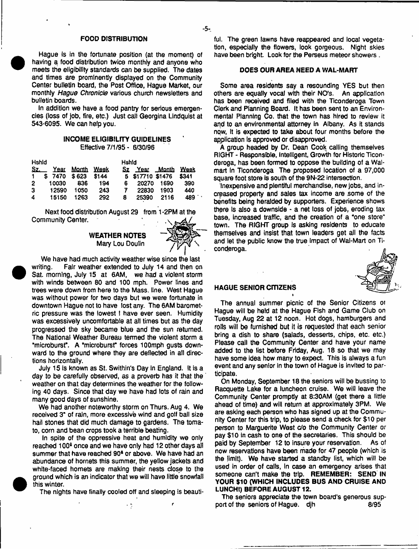### FOOD DISTRIBUTION

Hague is in the fortunate position (at the moment) of having a food distribution twice monthly and anyone who meets the eligibility standards *can* be supplied. The dates and times are prominently displayed on the Community Center bulletin board, the Post Office, Hague Market, our monthly *Hague Chronicle* various church newsletters and bulletin boards.

In addition we have a food pantry for serious emergencies (loss of job, fire, etc.) Just cat) Georgina Lindquist at 543-6095. We can help you.

## INCOME ELIGIBILFTY GUIDELINES Effective 7/1/95 - 6/30/96

| <b>Hshld</b> |              |                 |       | Hshid |                    |        |       |
|--------------|--------------|-----------------|-------|-------|--------------------|--------|-------|
| Sz.          |              | Year Month Week |       |       | Sz Year Month Week |        |       |
|              | \$7470 \$623 |                 | \$144 |       | 5 \$17710 \$1476   |        | \$341 |
| 2            | 10030        | 836             | 194   | 6.    | 20270              | - 1690 | 390   |
| 3            | 12590        | 1050            | 243   | 7.    | 22830              | 1903   | 440   |
| 4            | 15150        | 1263            | 292   | 8     | 25390              | 2116   | 489.  |

Next food distribution August 29 from 1-2PM at the Community Center.

### WEATHER NOTES Mary Lou Doulin



We have had much activity weather wise since the last writing. Fair weather extended to July 14 and then on Sat. morning, July 15 at 6AM, we had a violent storm with winds between 80 and 100 mph. Power lines and trees were down from here to the Mass. line. West Hague was without power for two days but we were fortunate in downtown Hague not to have lost any. The 6AM barometric pressure was the lowest I have ever seen. Humidity was excessively uncomfortable at ail times but as the day progressed the sky became blue and the sun returned. The National Weather Bureau termed the violent storm a "microburst". A 'microburst" forces 10Omph gusts downward to the ground where they are deflected in all directions horizontally.

July 15 Is known as St. Swithin's Day in England. It is a day to be carefully observed, as a proverb has it that the weather on that day determines the weather for the following 40 days. Since that day we have had lots of rain and many good days of sunshine.

We had another noteworthy storm on Thurs. Aug 4. We received 3" of rain, more excessive wind and golf ball size hail stones that did much damage to gardens. The tomato, corn and bean crops took a terrible beating.

In spite of the oppressive heat and humidity we only reached 100<sup>6</sup> once and we have only had 12 other days all summer that have reached 90\* or above. We have had an abundance of hornets this summer, the yellow jackets and white-faced hornets are making their nests close to the ground which is an indicator that we will have little snowfall this winter.

The nights have finally cooled off and sleeping is beauti-

 $\frac{1}{2}$ 

ful. The green lawns have reappeared and local vegetation, especially the flowers, look gorgeous. Night skies have been bright. Look for the Perseus meteor showers.

# DOES OUR AREA NEED A WAL-MART

Some area residents say a resounding YES but then others are equally vocal with their NO'S. An application has been received and filed with the Ticonderoga Town Clerk and Planning Board. It has been sent to an Environmental Planning Co. that the town has hired to review it and to an environmental attorney in Albany. As it stands now, It is expected to take about four months before the application is approved or disapproved.

A group headed by Dr. Dean Cook calling themselves RIGHT - Responsible, Intelligent, Growth for Historic Ticonderoga, has been formed to oppose the building of a Walmart In Ticonderoga The proposed location of a 97,000 square foot store is south of the 9N-22 intersection.

Inexpensive and plentiful merchandise, new jobs, and increased property and sales tax income are some of the benefits being heralded by supporters. Experience shows there Is also a downside - a net loss of jobs, eroding tax base, increased traffic, and the creation of a "one store" town. The RIGHT group is asking residents to educate themselves and insist that town leaders get all the facts and let the public know the true Impact of Wal-Mart on Ticonderoga.



## HAGUE SENIOR CITIZENS

The annual summer picnic of the Senior Citizens oi Hague will be held at the Hague Fish and Game Club on Tuesday, Aug 22 at 12 noon. Hot dogs, hamburgers and rolls will be furnished but it is requested that each senior bring a dish to share (salads, desserts, chips, etc. etc.) Please call the Community Center and have your name added to the list before Friday, Aug. 18 so that we may have some idea how many to expect. This is always a fun event and any senior In the town of Hague is invited to participate.

On Monday, September 18 the seniors will be bussing to Racquette Lake for a luncheon cruise. We will leave the Community Center promptly at 8:30AM (get there a little ahead of time) and will return at approximately 3PM. We are asking each person who has signed up at the Community Center for this trip, to please send a check for \$10 per person to Marguerite West c/o the Community Center or pay \$10 in cash to one of the secretaries. This should be paid by September 12 to insure your reservation. As of now reservations have been made for 47 people (which is the limit). We have started a standby list, which will be used in order of calls, In case an emergency arises that someone can't make the trip. REMEMBER: SEND IN YOUR \$10 (WHICH INCLUDES BUS AND CRUISE AND LUNCH!) BEFORE AUGUST 12.

The seniors appreciate the town board's generous support of the seniors of Hague, dih 8/95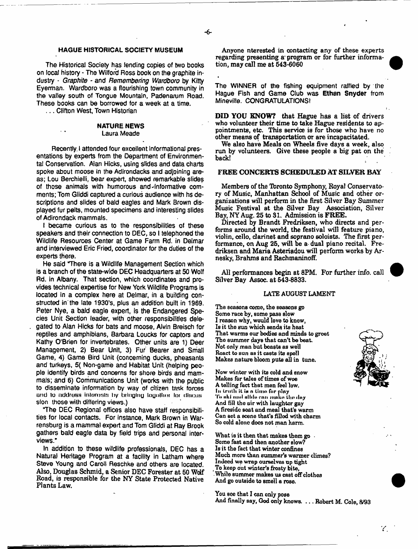#### HAGUE HISTORICAL SOCIETY MUSEUM

The Historical Society has lending copies of two books on local history - The Wilford Ross book on the graphite industry - *Graphite -* and *Remembering Wardboro* by Kitty Eyerman. Wardboro was a flourishing town community in the valley south of Tongue Mountain, Padenarum Road. These books can be borrowed for a week at a time.

... Clifton West, Town Historian

#### NATURE NEWS Laura Meade

Recently, I attended four excellent informational presentations by experts from the Department of Environmental Conservation. Aian Hicks, using slides and data charts spoke about moose in the Adirondacks and adjoining areas; Lou Serchieili, bear expert, showed remarkable slides of those animals with humorous and-Informative comments; Tom Gliddi captured a curious audience with hs descriptions and slides of bald eagles and Mark Brown displayed fur pelts, mounted specimens and interesting slides of Adirondack mammals.

I became curious as to the responsibilities of these speakers and their connection to DEC, so I telephoned the Wildlife Resources Center at Game Farm Rd. in Delmar and interviewed Eric Fried, coordinator for the duties of the experts there.

He said There is a Wildlife Management Section which is a branch of the state-wide DEC Headquarters at 50 Wolf Rd. in Albany. That section, which coordinates and provides technical expertise for New York Wildlife Programs is located in a complex here at Delmar, in a building constructed in' the late 1930's, plus an addition built in 1969. Peter Nye, a bald eagle expert, is the Endangered Species Unit Section leader, with other responsibilities delegated to Alan Hicks for bats and moose, Alvin Breisch for reptiles and amphibians, Barbara Loucks for captors and Kathy O'Brien for invertebrates. Other units are 1) Deer Management, 2) Bear Unit, 3) Fur Bearer and Small Game, 4) Game Bird Unit (concerning ducks, pheasants and turkeys, 5( Non-game and Habitat Unit (helping people identify birds and concerns for shore birds and mammals; and 6) Communications Unit (works with the public to disseminate information by way of citizen task forces and to address interests by bringing logather for discussion those with differing views.)

"The DEC Regional offices also have staff responsibilities for local contacts. For instance, Mark Brown in Warrensburg is a mammal expert and Tom Gliddi at Ray Brook gathers bald eagle data by field trips and personal interviews."

In addition to these wildlife professionals, DEC has a Natural Heritage Program at a facility in Latham where Steve Young and Carol! Reschke and others are located. Also, Douglas Schmid, a Senior DEC Forester at 50 Wolf Road, is responsible for the NY State Protected Native Plants Law.

Anyone nterested in contacting any of these experts regarding presenting a' program or for further information, may call me at 543-6060

The WINNER of the fishing equipment raffled by the Hague Fish and Game Club was Ethan Snyder from Minevifle. CONGRATULATIONS!

DID YOU KNOW? that Hague has a list of drivers who volunteer their time to take Hague residents to appointments, etc. This service is for those who have no other means of transportation or are incapacitated.

We also have Meals on Wheels five days a week, also run by volunteers. Give these people a big pat on the back!

### FREE CONCERTS SCHEDULED AT SILVER BAY

Members of the Toronto Symphony, Royal Conservatory of Music, Manhattan School of Music and other organizations will perform in the first Silver Bay Summer Music Festival at the Silver Bay Association, Silver Bay, NY Aug. 25 to 31. Admission is FREE.

Directed by Brandt Fredriksen, who directs and performs around the world, the festival will feature piano, violin, cello, clarinet and soprano soloists. The first performance, on Aug 25, will be a dual piano recital. Fredriksen and Maria Asteriadou will perform works by Arnesky, Brahms and Rachmaninoff.

All performances begin at 8PM. For further info, call Silver Bay Assoc, at 543-8833.

#### LATE AUGUST LAMENT

The seasons come, the Beasons go Some race by, some pass slow I reason why, would love to know, Is it the sun which sends its heat That warms our bodies and minds to greet The summer days that can't be beat Not only man but boasts as well React to sun aB it casts its spoil Makes nature bloom puts all in tune.

Now winter with its cold and snow Makes for tales of times of woe A telling fact that men feel low. In LruUi it in n limn fur piny To aki and allde can make the day And 511 tho air with laughtor gay A fireside seat and meal that's warm Gan set a scene that's filled with charm So cold alone does not man harm.

What is it then that makes them  $g_0$ . Some fast and then another slow? Is it the fact that winter confines Much more than summer's warmer climes? Indeed we wrap ourselves up tight \_ To keep out winter's frosty bite, .While summer makes ua cast off clothes And go outside to smell a rose.

You see that I can only pose And finally say, God only knows. . . . Robert M. Cole, &^93

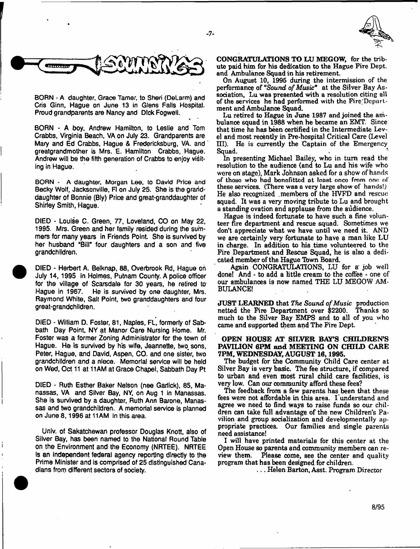$-7-$ 



BORN - A daughter, Grace Tamer, to Sheri (DeLarm) and Cris Ginn, Hague on June 13 in Glens Falls Hospital. Proud grandparents are Nancy and Dick Fogwell.

**CONTRACT** 

BORN - A boy, Andrew Hamilton, to Leslie and Tom Crabbs, Virginia Beach, VA on July 23. Grandparents are Mary and Ed Crabbs, Hague & Fredericksburg, VA. and greatgrandmother is Mrs, E. Hamilton Crabbs, Hague. Andrew will be the fifth generation of Crabbs to enjoy visiting in Hague.

**BORN - A daughter, Morgan Lee,** to **David Price and** Becky Wolf, Jacksonville, FI on July 25. She is the granddaughter of Bonnie (Bly) Price and great-granddaughter of Shirley Smith, Hague.

DIED - Louise C. Green, 77, Loveland, CO on May 22, 1995. Mrs. Green and her family resided during the summers for many years in Friends Point She is survived by her husband "Bill" four daughters and a son and five grandchildren.

DIED - Herbert A. Belknap, 88, Overbrook Rd, Hague on July 14, 1995 in Holmes, Putnam County. A police officer for the village of Scarsdate for 30 years, he retired to Hague in 1967. He is survived by one daughter, Mrs. Raymond White, Salt Point, two granddaughters and four great-grandchildren.

DIED - William D. Foster, 81, Naples, FL, formerly of Sabbath Day Point, NY at Manor Care Nursing Home. Mr. Foster was a former Zoning Administrator for the town of Hague. He is survived by his wife, Jeannette, two. sons, Peter, Hague, and David, Aspen, CO. and one sister, two grandchildren and a niece. Memorial service will be held on Wed, Oct 11 at 11AM at Grace Chapel, Sabbath Day Pt

DIED - Ruth Esther Baker Nelson (nee Garlick), 85, Manassas, VA and Silver Bay, NY, on Aug 1 In Manassas. She is survived by a daughter, Ruth Ann Barone, Manassas and two grandchildren. A memorial service is planned on June 8,1996 at 11AM in this area.

Univ. of Sakatchewan professor Douglas Knott, also of Silver Bay, has been named to the National Round Table on the Environment and the Economy (NRTEE). NRTEE Is an independent federal agency reporting directly to the Prime Minister and is comprised of 25 distinguished Canadians from different sectors of society.

CONGRATULATIONS TO LU MEGOW, for the tribute paid him for his dedication to the Hague Fire Dept, and Ambulance Squad in his retirement.

On August 10, 1995 during the intermission of the performance of "Sound of Music" at the Silver Bay Association, Lu was presented with a resolution citing all of the services he had performed with the Fire;Dcpnrf. ment and Ambulance Squad.

Lu retired to Hague in June 1987 and joined the ambulance squad in 1988 when he became an EMT. Since that time he has been certified in the Intermediate Level and most recently in Pre-hospital Critical Care (Level HI). He is currently the Captain of the Emergency Squad.

In presenting Michael Bailey, who in turn read the resolution to the audience (and to Lu and his wife who were on stage), Mark Johnson asked for a show of hands of thoso who had bonofitted at least once from one of these services. (There was a very large show of hands!) He also recognized .members of the HVFD and rescue squad. It was a very moving tribute to Lu and brought a standing ovation and applause from the audience.

Hague is indeed fortunate to have such a fine volunteer fire department and rescue squad. Sometimes we don't appreciate what we have until we need it. AND we are certainly very fortunate to have a man like LU in charge. In addition to his time volunteered to the Fire Department and Rescue Squad, he is also a dedicated member of the Hague Tbwn Board.

Again CONGRATULATIONS, LU for a job well done! And - to add a little cream to the coffee - one of our ambulances is now named THE LU MEGOW AM-BULANCE!

JUST LEARNED that The Sound of Music production netted the Fire Department over \$2200. Thanks so much to the Silver Bay EMPS and to all of you who came and supported them and The Fire Dept.

## OPEN HOUSE AT SILVER BATS CHILDREN'S PAVILION 6PM and MEETING ON CHILD CARE 7PM, WEDNESDAY, AUGUST 16,1995.

The budget for the Community Child Care center at Silver Bay is very basic. The fee structure, if compared to urban and even most rural child care facilities, is very low. Can our community afford these fees?

The feedback from a few parents has been that these fees were not affordable in this area. L understand and agree we need to find ways to raise funds so our children can take full advantage of the new Children's Pavilion and group socialization and developmentally appropriate practices. Our families and single parents need assistance!

I will have printed materials for this center at the Open House so parents and community members can review them. Please come, see the center and quality program that has been designed for children.

. . . Helen Barton, Asst. Program Director